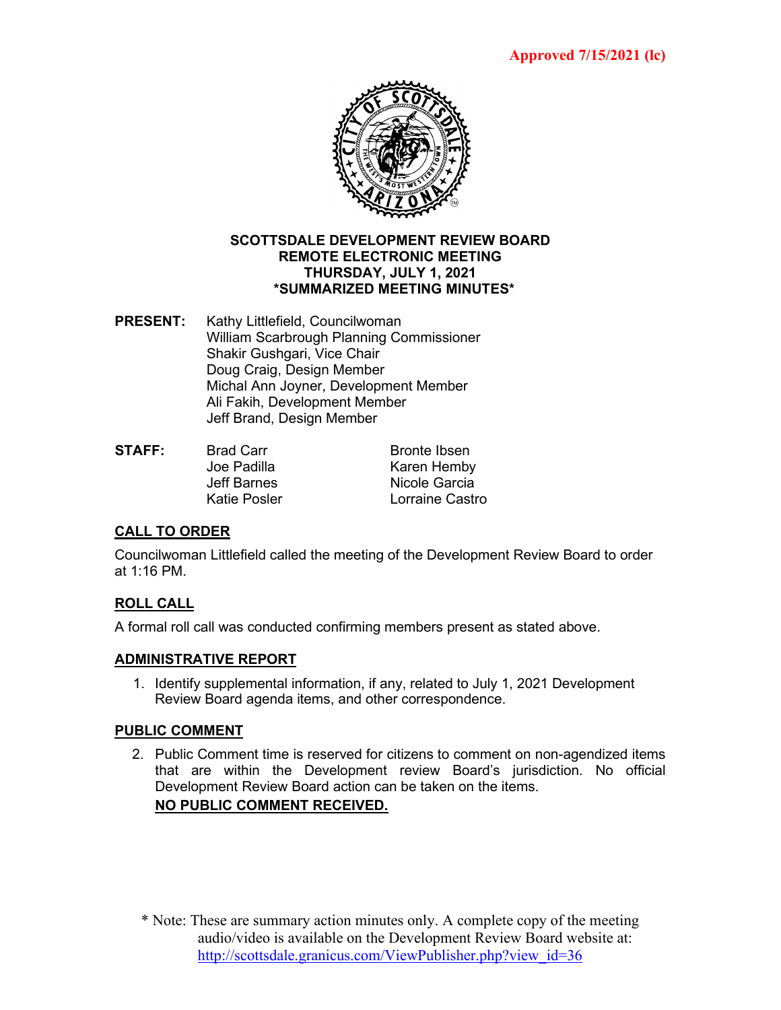

#### **SCOTTSDALE DEVELOPMENT REVIEW BOARD REMOTE ELECTRONIC MEETING THURSDAY, JULY 1, 2021 \*SUMMARIZED MEETING MINUTES\***

- **PRESENT:** Kathy Littlefield, Councilwoman William Scarbrough Planning Commissioner Shakir Gushgari, Vice Chair Doug Craig, Design Member Michal Ann Joyner, Development Member Ali Fakih, Development Member Jeff Brand, Design Member
- **STAFF:** Brad Carr Bronte Ibsen Joe Padilla Karen Hemby Jeff Barnes Nicole Garcia Katie Posler **Lorraine Castro**

# **CALL TO ORDER**

Councilwoman Littlefield called the meeting of the Development Review Board to order at 1:16 PM.

# **ROLL CALL**

A formal roll call was conducted confirming members present as stated above.

### **ADMINISTRATIVE REPORT**

1. Identify supplemental information, if any, related to July 1, 2021 Development Review Board agenda items, and other correspondence.

### **PUBLIC COMMENT**

2. Public Comment time is reserved for citizens to comment on non-agendized items that are within the Development review Board's jurisdiction. No official Development Review Board action can be taken on the items. **NO PUBLIC COMMENT RECEIVED.**

\* Note: These are summary action minutes only. A complete copy of the meeting audio/video is available on the Development Review Board website at: [http://scottsdale.granicus.com/ViewPublisher.php?view\\_id=36](http://scottsdale.granicus.com/ViewPublisher.php?view_id=36)